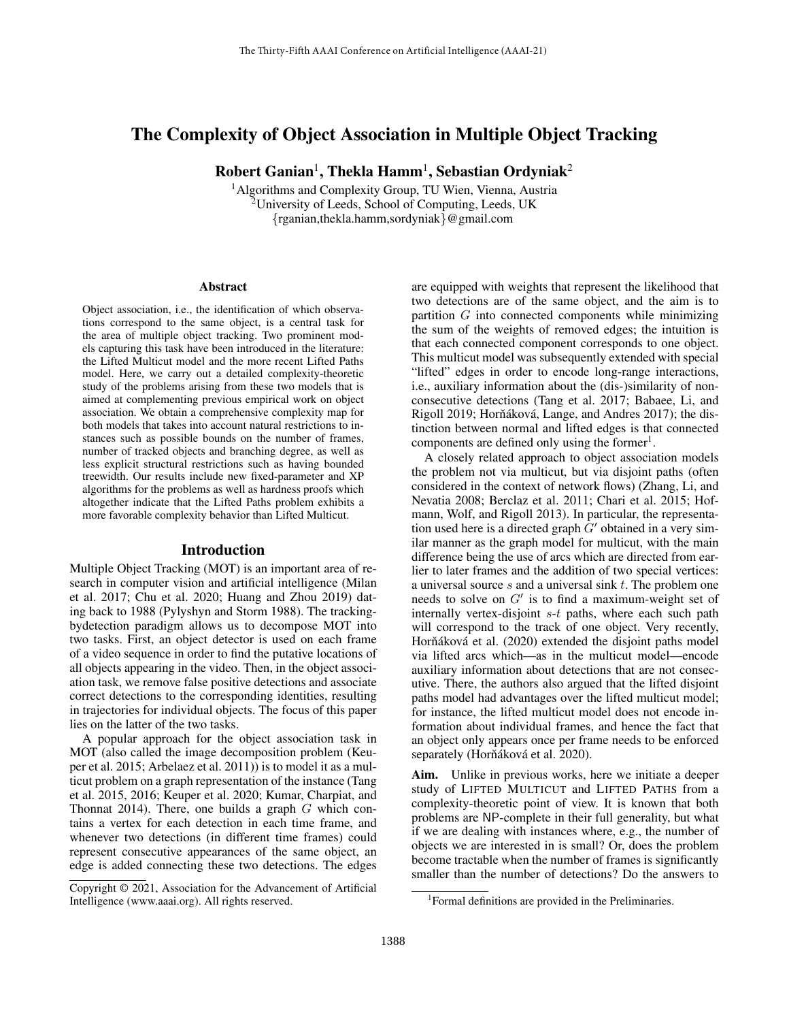# The Complexity of Object Association in Multiple Object Tracking

 $\rm\bf Robert\, Ganian^1, \rm Thekla\, Hamm^1, \rm Sebastian\, Ordyniak^2$ 

<sup>1</sup> Algorithms and Complexity Group, TU Wien, Vienna, Austria <sup>2</sup>University of Leeds, School of Computing, Leeds, UK {rganian,thekla.hamm,sordyniak}@gmail.com

#### Abstract

Object association, i.e., the identification of which observations correspond to the same object, is a central task for the area of multiple object tracking. Two prominent models capturing this task have been introduced in the literature: the Lifted Multicut model and the more recent Lifted Paths model. Here, we carry out a detailed complexity-theoretic study of the problems arising from these two models that is aimed at complementing previous empirical work on object association. We obtain a comprehensive complexity map for both models that takes into account natural restrictions to instances such as possible bounds on the number of frames, number of tracked objects and branching degree, as well as less explicit structural restrictions such as having bounded treewidth. Our results include new fixed-parameter and XP algorithms for the problems as well as hardness proofs which altogether indicate that the Lifted Paths problem exhibits a more favorable complexity behavior than Lifted Multicut.

### Introduction

Multiple Object Tracking (MOT) is an important area of research in computer vision and artificial intelligence (Milan et al. 2017; Chu et al. 2020; Huang and Zhou 2019) dating back to 1988 (Pylyshyn and Storm 1988). The trackingbydetection paradigm allows us to decompose MOT into two tasks. First, an object detector is used on each frame of a video sequence in order to find the putative locations of all objects appearing in the video. Then, in the object association task, we remove false positive detections and associate correct detections to the corresponding identities, resulting in trajectories for individual objects. The focus of this paper lies on the latter of the two tasks.

A popular approach for the object association task in MOT (also called the image decomposition problem (Keuper et al. 2015; Arbelaez et al. 2011)) is to model it as a multicut problem on a graph representation of the instance (Tang et al. 2015, 2016; Keuper et al. 2020; Kumar, Charpiat, and Thonnat 2014). There, one builds a graph  $G$  which contains a vertex for each detection in each time frame, and whenever two detections (in different time frames) could represent consecutive appearances of the same object, an edge is added connecting these two detections. The edges

are equipped with weights that represent the likelihood that two detections are of the same object, and the aim is to partition G into connected components while minimizing the sum of the weights of removed edges; the intuition is that each connected component corresponds to one object. This multicut model was subsequently extended with special "lifted" edges in order to encode long-range interactions, i.e., auxiliary information about the (dis-)similarity of nonconsecutive detections (Tang et al. 2017; Babaee, Li, and Rigoll 2019; Horňáková, Lange, and Andres 2017); the distinction between normal and lifted edges is that connected components are defined only using the former<sup>1</sup>.

A closely related approach to object association models the problem not via multicut, but via disjoint paths (often considered in the context of network flows) (Zhang, Li, and Nevatia 2008; Berclaz et al. 2011; Chari et al. 2015; Hofmann, Wolf, and Rigoll 2013). In particular, the representation used here is a directed graph  $G'$  obtained in a very similar manner as the graph model for multicut, with the main difference being the use of arcs which are directed from earlier to later frames and the addition of two special vertices: a universal source s and a universal sink t. The problem one needs to solve on  $G'$  is to find a maximum-weight set of internally vertex-disjoint s-t paths, where each such path will correspond to the track of one object. Very recently, Horňáková et al. (2020) extended the disjoint paths model via lifted arcs which—as in the multicut model—encode auxiliary information about detections that are not consecutive. There, the authors also argued that the lifted disjoint paths model had advantages over the lifted multicut model; for instance, the lifted multicut model does not encode information about individual frames, and hence the fact that an object only appears once per frame needs to be enforced separately (Horňáková et al. 2020).

Aim. Unlike in previous works, here we initiate a deeper study of LIFTED MULTICUT and LIFTED PATHS from a complexity-theoretic point of view. It is known that both problems are NP-complete in their full generality, but what if we are dealing with instances where, e.g., the number of objects we are interested in is small? Or, does the problem become tractable when the number of frames is significantly smaller than the number of detections? Do the answers to

Copyright © 2021, Association for the Advancement of Artificial Intelligence (www.aaai.org). All rights reserved.

<sup>&</sup>lt;sup>1</sup> Formal definitions are provided in the Preliminaries.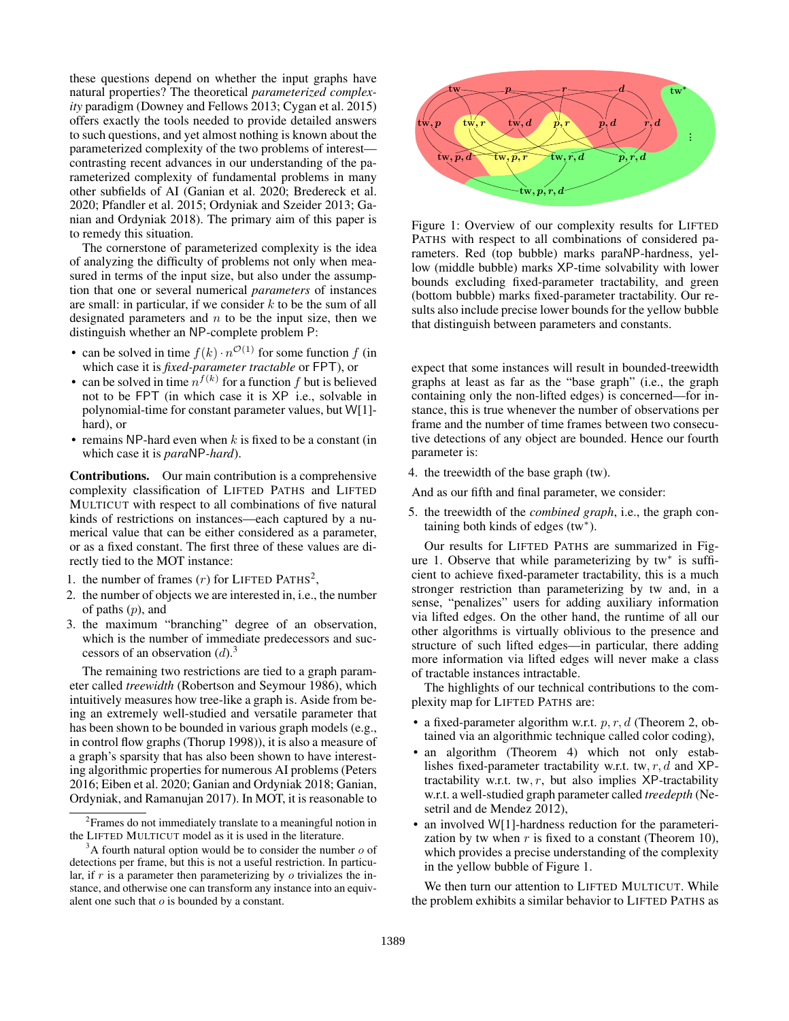these questions depend on whether the input graphs have natural properties? The theoretical *parameterized complexity* paradigm (Downey and Fellows 2013; Cygan et al. 2015) offers exactly the tools needed to provide detailed answers to such questions, and yet almost nothing is known about the parameterized complexity of the two problems of interest contrasting recent advances in our understanding of the parameterized complexity of fundamental problems in many other subfields of AI (Ganian et al. 2020; Bredereck et al. 2020; Pfandler et al. 2015; Ordyniak and Szeider 2013; Ganian and Ordyniak 2018). The primary aim of this paper is to remedy this situation.

The cornerstone of parameterized complexity is the idea of analyzing the difficulty of problems not only when measured in terms of the input size, but also under the assumption that one or several numerical *parameters* of instances are small: in particular, if we consider  $k$  to be the sum of all designated parameters and  $n$  to be the input size, then we distinguish whether an NP-complete problem P:

- can be solved in time  $f(k) \cdot n^{\mathcal{O}(1)}$  for some function f (in which case it is *fixed-parameter tractable* or FPT), or
- can be solved in time  $n^{f(k)}$  for a function f but is believed not to be FPT (in which case it is XP i.e., solvable in polynomial-time for constant parameter values, but W[1] hard), or
- remains NP-hard even when  $k$  is fixed to be a constant (in which case it is *para*NP*-hard*).

Contributions. Our main contribution is a comprehensive complexity classification of LIFTED PATHS and LIFTED MULTICUT with respect to all combinations of five natural kinds of restrictions on instances—each captured by a numerical value that can be either considered as a parameter, or as a fixed constant. The first three of these values are directly tied to the MOT instance:

- 1. the number of frames  $(r)$  for LIFTED PATHS<sup>2</sup>,
- 2. the number of objects we are interested in, i.e., the number of paths  $(p)$ , and
- 3. the maximum "branching" degree of an observation, which is the number of immediate predecessors and successors of an observation  $(d)$ .<sup>3</sup>

The remaining two restrictions are tied to a graph parameter called *treewidth* (Robertson and Seymour 1986), which intuitively measures how tree-like a graph is. Aside from being an extremely well-studied and versatile parameter that has been shown to be bounded in various graph models (e.g., in control flow graphs (Thorup 1998)), it is also a measure of a graph's sparsity that has also been shown to have interesting algorithmic properties for numerous AI problems (Peters 2016; Eiben et al. 2020; Ganian and Ordyniak 2018; Ganian, Ordyniak, and Ramanujan 2017). In MOT, it is reasonable to



Figure 1: Overview of our complexity results for LIFTED PATHS with respect to all combinations of considered parameters. Red (top bubble) marks paraNP-hardness, yellow (middle bubble) marks XP-time solvability with lower bounds excluding fixed-parameter tractability, and green (bottom bubble) marks fixed-parameter tractability. Our results also include precise lower bounds for the yellow bubble that distinguish between parameters and constants.

expect that some instances will result in bounded-treewidth graphs at least as far as the "base graph" (i.e., the graph containing only the non-lifted edges) is concerned—for instance, this is true whenever the number of observations per frame and the number of time frames between two consecutive detections of any object are bounded. Hence our fourth parameter is:

4. the treewidth of the base graph (tw).

And as our fifth and final parameter, we consider:

5. the treewidth of the *combined graph*, i.e., the graph containing both kinds of edges  $(tw^*)$ .

Our results for LIFTED PATHS are summarized in Figure 1. Observe that while parameterizing by tw\* is sufficient to achieve fixed-parameter tractability, this is a much stronger restriction than parameterizing by tw and, in a sense, "penalizes" users for adding auxiliary information via lifted edges. On the other hand, the runtime of all our other algorithms is virtually oblivious to the presence and structure of such lifted edges—in particular, there adding more information via lifted edges will never make a class of tractable instances intractable.

The highlights of our technical contributions to the complexity map for LIFTED PATHS are:

- a fixed-parameter algorithm w.r.t.  $p, r, d$  (Theorem 2, obtained via an algorithmic technique called color coding),
- an algorithm (Theorem 4) which not only establishes fixed-parameter tractability w.r.t. tw,  $r$ ,  $d$  and  $XP$ tractability w.r.t. tw,  $r$ , but also implies XP-tractability w.r.t. a well-studied graph parameter called *treedepth* (Nesetril and de Mendez 2012),
- an involved W[1]-hardness reduction for the parameterization by tw when  $r$  is fixed to a constant (Theorem 10), which provides a precise understanding of the complexity in the yellow bubble of Figure 1.

We then turn our attention to LIFTED MULTICUT. While the problem exhibits a similar behavior to LIFTED PATHS as

<sup>&</sup>lt;sup>2</sup> Frames do not immediately translate to a meaningful notion in the LIFTED MULTICUT model as it is used in the literature.

 $3A$  fourth natural option would be to consider the number  $o$  of detections per frame, but this is not a useful restriction. In particular, if  $r$  is a parameter then parameterizing by  $\sigma$  trivializes the instance, and otherwise one can transform any instance into an equivalent one such that  $o$  is bounded by a constant.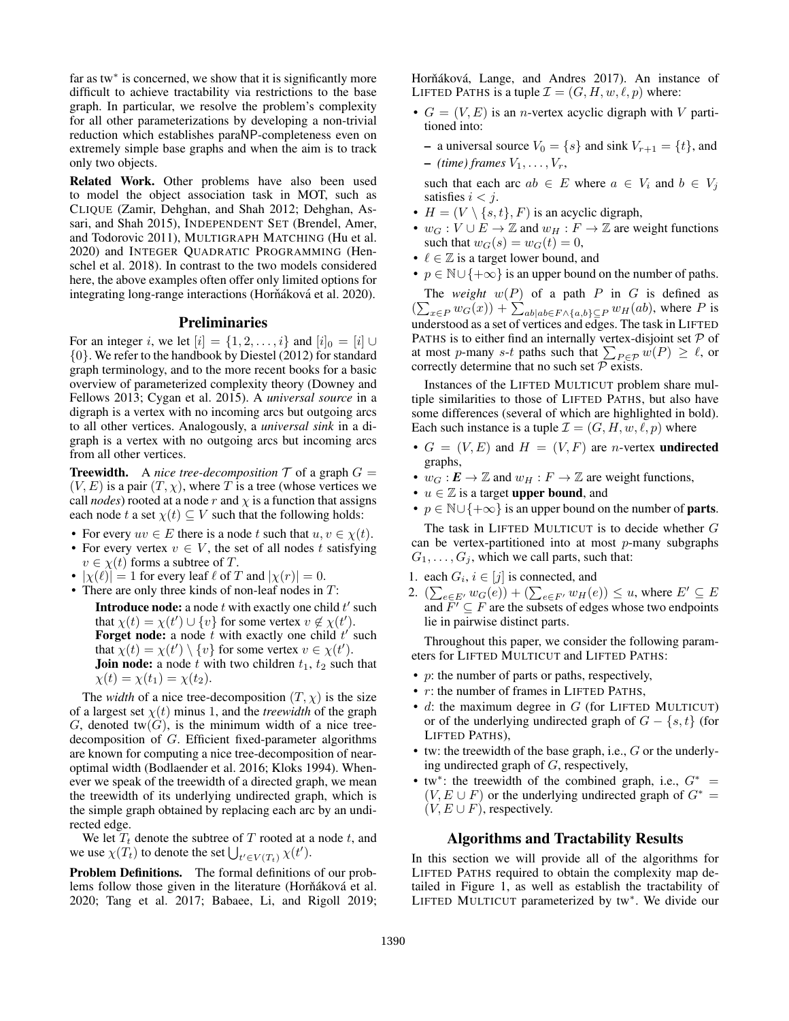far as tw<sup>\*</sup> is concerned, we show that it is significantly more difficult to achieve tractability via restrictions to the base graph. In particular, we resolve the problem's complexity for all other parameterizations by developing a non-trivial reduction which establishes paraNP-completeness even on extremely simple base graphs and when the aim is to track only two objects.

Related Work. Other problems have also been used to model the object association task in MOT, such as CLIQUE (Zamir, Dehghan, and Shah 2012; Dehghan, Assari, and Shah 2015), INDEPENDENT SET (Brendel, Amer, and Todorovic 2011), MULTIGRAPH MATCHING (Hu et al. 2020) and INTEGER QUADRATIC PROGRAMMING (Henschel et al. 2018). In contrast to the two models considered here, the above examples often offer only limited options for integrating long-range interactions (Horňáková et al. 2020).

#### Preliminaries

For an integer i, we let  $[i] = \{1, 2, \ldots, i\}$  and  $[i]_0 = [i] \cup$ {0}. We refer to the handbook by Diestel (2012) for standard graph terminology, and to the more recent books for a basic overview of parameterized complexity theory (Downey and Fellows 2013; Cygan et al. 2015). A *universal source* in a digraph is a vertex with no incoming arcs but outgoing arcs to all other vertices. Analogously, a *universal sink* in a digraph is a vertex with no outgoing arcs but incoming arcs from all other vertices.

**Treewidth.** A *nice tree-decomposition*  $\mathcal{T}$  of a graph  $G =$  $(V, E)$  is a pair  $(T, \chi)$ , where T is a tree (whose vertices we call *nodes*) rooted at a node r and  $\chi$  is a function that assigns each node t a set  $\chi(t) \subseteq V$  such that the following holds:

- For every  $uv \in E$  there is a node t such that  $u, v \in \chi(t)$ .
- For every vertex  $v \in V$ , the set of all nodes t satisfying  $v \in \chi(t)$  forms a subtree of T.
- $|\chi(\ell)| = 1$  for every leaf  $\ell$  of T and  $|\chi(r)| = 0$ .
- There are only three kinds of non-leaf nodes in  $T$ : **Introduce node:** a node  $t$  with exactly one child  $t'$  such that  $\chi(t) = \chi(t') \cup \{v\}$  for some vertex  $v \notin \chi(t')$ . **Forget node:** a node t with exactly one child  $t'$  such that  $\chi(t) = \chi(t') \setminus \{v\}$  for some vertex  $v \in \chi(t')$ . **Join node:** a node t with two children  $t_1$ ,  $t_2$  such that  $\chi(t) = \chi(t_1) = \chi(t_2).$

The *width* of a nice tree-decomposition  $(T, \chi)$  is the size of a largest set  $\chi(t)$  minus 1, and the *treewidth* of the graph G, denoted tw $(G)$ , is the minimum width of a nice treedecomposition of G. Efficient fixed-parameter algorithms are known for computing a nice tree-decomposition of nearoptimal width (Bodlaender et al. 2016; Kloks 1994). Whenever we speak of the treewidth of a directed graph, we mean the treewidth of its underlying undirected graph, which is the simple graph obtained by replacing each arc by an undirected edge.

We let  $T_t$  denote the subtree of T rooted at a node t, and we use  $\chi(T_t)$  to denote the set  $\bigcup_{t' \in V(T_t)} \chi(t')$ .

Problem Definitions. The formal definitions of our problems follow those given in the literature (Horňáková et al. 2020; Tang et al. 2017; Babaee, Li, and Rigoll 2019; Horňáková, Lange, and Andres 2017). An instance of LIFTED PATHS is a tuple  $\mathcal{I} = (G, H, w, \ell, p)$  where:

•  $G = (V, E)$  is an *n*-vertex acyclic digraph with V partitioned into:

– a universal source  $V_0 = \{s\}$  and sink  $V_{r+1} = \{t\}$ , and  $-$  *(time) frames*  $V_1, \ldots, V_r$ ,

such that each arc  $ab \in E$  where  $a \in V_i$  and  $b \in V_j$ satisfies  $i < j$ .

- $H = (V \setminus \{s, t\}, F)$  is an acyclic digraph,
- $w_G: V \cup E \to \mathbb{Z}$  and  $w_H: F \to \mathbb{Z}$  are weight functions such that  $w_G(s) = w_G(t) = 0$ ,
- $\ell \in \mathbb{Z}$  is a target lower bound, and
- $p \in \mathbb{N} \cup \{+\infty\}$  is an upper bound on the number of paths.

The *weight*  $w(P)$  of a path P in G is defined as  $\left(\sum_{x \in P} w_G(x)\right) + \sum_{ab|ab \in F \wedge \{a,b\} \subseteq P} w_H(ab)$ , where P is understood as a set of vertices and edges. The task in LIFTED PATHS is to either find an internally vertex-disjoint set  $P$  of at most p-many s-t paths such that  $\sum_{P \in \mathcal{P}} w(P) \geq \ell$ , or correctly determine that no such set  $P$  exists.

Instances of the LIFTED MULTICUT problem share multiple similarities to those of LIFTED PATHS, but also have some differences (several of which are highlighted in bold). Each such instance is a tuple  $\mathcal{I} = (G, H, w, \ell, p)$  where

- $G = (V, E)$  and  $H = (V, F)$  are *n*-vertex **undirected** graphs,
- $w_G : E \to \mathbb{Z}$  and  $w_H : F \to \mathbb{Z}$  are weight functions,
- $u \in \mathbb{Z}$  is a target **upper bound**, and
- $p \in \mathbb{N} \cup \{+\infty\}$  is an upper bound on the number of **parts**.

The task in LIFTED MULTICUT is to decide whether G can be vertex-partitioned into at most  $p$ -many subgraphs  $G_1, \ldots, G_i$ , which we call parts, such that:

- 1. each  $G_i$ ,  $i \in [j]$  is connected, and
- 2.  $(\sum_{e \in E'} w_G(e)) + (\sum_{e \in F'} w_H(e)) \le u$ , where  $E' \subseteq E$ and  $\overline{F'} \subseteq F$  are the subsets of edges whose two endpoints lie in pairwise distinct parts.

Throughout this paper, we consider the following parameters for LIFTED MULTICUT and LIFTED PATHS:

- $p$ : the number of parts or paths, respectively,
- $\bullet$  r: the number of frames in LIFTED PATHS,
- $\bullet$  d: the maximum degree in G (for LIFTED MULTICUT) or of the underlying undirected graph of  $G - \{s, t\}$  (for LIFTED PATHS),
- tw: the treewidth of the base graph, i.e.,  $G$  or the underlying undirected graph of G, respectively,
- tw\*: the treewidth of the combined graph, i.e.,  $G^*$  =  $(V, E \cup F)$  or the underlying undirected graph of  $G^* =$  $(V, E \cup F)$ , respectively.

# Algorithms and Tractability Results

In this section we will provide all of the algorithms for LIFTED PATHS required to obtain the complexity map detailed in Figure 1, as well as establish the tractability of LIFTED MULTICUT parameterized by tw<sup>∗</sup> . We divide our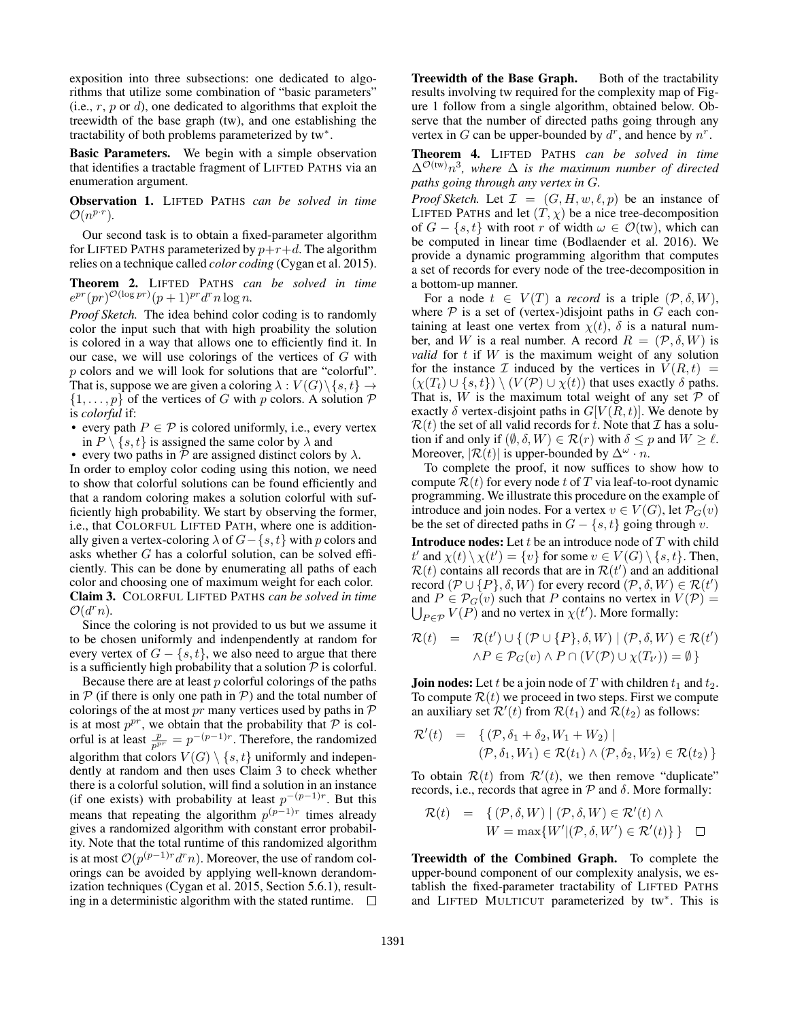exposition into three subsections: one dedicated to algorithms that utilize some combination of "basic parameters" (i.e.,  $r$ ,  $p$  or  $d$ ), one dedicated to algorithms that exploit the treewidth of the base graph (tw), and one establishing the tractability of both problems parameterized by tw<sup>∗</sup> .

Basic Parameters. We begin with a simple observation that identifies a tractable fragment of LIFTED PATHS via an enumeration argument.

Observation 1. LIFTED PATHS *can be solved in time*  $\mathcal{O}(n^{p\cdot r}).$ 

Our second task is to obtain a fixed-parameter algorithm for LIFTED PATHS parameterized by  $p+r+d$ . The algorithm relies on a technique called *color coding* (Cygan et al. 2015).

Theorem 2. LIFTED PATHS *can be solved in time*  $e^{pr}(pr)^{\mathcal{O}(\log pr)}(p+1)^{pr}d^rn\log n.$ 

*Proof Sketch.* The idea behind color coding is to randomly color the input such that with high proability the solution is colored in a way that allows one to efficiently find it. In our case, we will use colorings of the vertices of G with p colors and we will look for solutions that are "colorful". That is, suppose we are given a coloring  $\lambda : V(G) \setminus \{s, t\} \rightarrow$  $\{1, \ldots, p\}$  of the vertices of G with p colors. A solution P is *colorful* if:

- every path  $P \in \mathcal{P}$  is colored uniformly, i.e., every vertex in  $P \setminus \{s, t\}$  is assigned the same color by  $\lambda$  and
- every two paths in  $P$  are assigned distinct colors by  $\lambda$ .

In order to employ color coding using this notion, we need to show that colorful solutions can be found efficiently and that a random coloring makes a solution colorful with sufficiently high probability. We start by observing the former, i.e., that COLORFUL LIFTED PATH, where one is additionally given a vertex-coloring  $\lambda$  of  $G - \{s, t\}$  with p colors and asks whether G has a colorful solution, can be solved efficiently. This can be done by enumerating all paths of each color and choosing one of maximum weight for each color. Claim 3. COLORFUL LIFTED PATHS *can be solved in time*  $\mathcal{O}(d^r n)$ .

Since the coloring is not provided to us but we assume it to be chosen uniformly and indenpendently at random for every vertex of  $G - \{s, t\}$ , we also need to argue that there is a sufficiently high probability that a solution  $P$  is colorful.

Because there are at least  $p$  colorful colorings of the paths in  $P$  (if there is only one path in  $P$ ) and the total number of colorings of the at most pr many vertices used by paths in  $\mathcal P$ is at most  $p^{pr}$ , we obtain that the probability that  $P$  is colorful is at least  $\frac{p}{p^{pr}} = p^{-(p-1)r}$ . Therefore, the randomized algorithm that colors  $V(G) \setminus \{s, t\}$  uniformly and independently at random and then uses Claim 3 to check whether there is a colorful solution, will find a solution in an instance (if one exists) with probability at least  $p^{-(p-1)r}$ . But this means that repeating the algorithm  $p^{(p-1)r}$  times already gives a randomized algorithm with constant error probability. Note that the total runtime of this randomized algorithm is at most  $\mathcal{O}(p^{(p-1)r}d^rn)$ . Moreover, the use of random colorings can be avoided by applying well-known derandomization techniques (Cygan et al. 2015, Section 5.6.1), resulting in a deterministic algorithm with the stated runtime.  $\Box$ 

Treewidth of the Base Graph. Both of the tractability results involving tw required for the complexity map of Figure 1 follow from a single algorithm, obtained below. Observe that the number of directed paths going through any vertex in G can be upper-bounded by  $d^r$ , and hence by  $n^r$ .

Theorem 4. LIFTED PATHS *can be solved in time* ∆<sup>O</sup>(tw)n 3 *, where* ∆ *is the maximum number of directed paths going through any vertex in* G*.*

*Proof Sketch.* Let  $\mathcal{I} = (G, H, w, \ell, p)$  be an instance of LIFTED PATHS and let  $(T, \chi)$  be a nice tree-decomposition of  $G - \{s, t\}$  with root r of width  $\omega \in \mathcal{O}(\text{tw})$ , which can be computed in linear time (Bodlaender et al. 2016). We provide a dynamic programming algorithm that computes a set of records for every node of the tree-decomposition in a bottom-up manner.

For a node  $t \in V(T)$  a *record* is a triple  $(\mathcal{P}, \delta, W)$ , where  $P$  is a set of (vertex-)disjoint paths in  $G$  each containing at least one vertex from  $\chi(t)$ ,  $\delta$  is a natural number, and W is a real number. A record  $R = (\mathcal{P}, \delta, W)$  is *valid* for  $t$  if  $W$  is the maximum weight of any solution for the instance  $\mathcal I$  induced by the vertices in  $V(R, t)$  =  $(\chi(T_t) \cup \{s, t\}) \setminus (V(\mathcal{P}) \cup \chi(t))$  that uses exactly  $\delta$  paths. That is, W is the maximum total weight of any set  $P$  of exactly  $\delta$  vertex-disjoint paths in  $G[V(R, t)]$ . We denote by  $\mathcal{R}(t)$  the set of all valid records for t. Note that  $\mathcal I$  has a solution if and only if  $(\emptyset, \delta, W) \in \mathcal{R}(r)$  with  $\delta \leq p$  and  $W \geq \ell$ . Moreover,  $|\mathcal{R}(t)|$  is upper-bounded by  $\Delta^{\omega} \cdot n$ .

To complete the proof, it now suffices to show how to compute  $\mathcal{R}(t)$  for every node t of T via leaf-to-root dynamic programming. We illustrate this procedure on the example of introduce and join nodes. For a vertex  $v \in V(G)$ , let  $\mathcal{P}_G(v)$ be the set of directed paths in  $G - \{s, t\}$  going through v.

**Introduce nodes:** Let  $t$  be an introduce node of  $T$  with child t' and  $\chi(t) \setminus \chi(t') = \{v\}$  for some  $v \in V(G) \setminus \{s, t\}$ . Then,  $\mathcal{R}(t)$  contains all records that are in  $\mathcal{R}(t')$  and an additional record  $(\mathcal{P} \cup \{P\}, \delta, W)$  for every record  $(\mathcal{P}, \delta, W) \in \mathcal{R}(t')$ and  $P \in \mathcal{P}_G(v)$  such that P contains no vertex in  $V(\mathcal{P}) =$  $\bigcup_{P \in \mathcal{P}} V(P)$  and no vertex in  $\chi(t')$ . More formally:

$$
\mathcal{R}(t) = \mathcal{R}(t') \cup \{ (\mathcal{P} \cup \{P\}, \delta, W) \mid (\mathcal{P}, \delta, W) \in \mathcal{R}(t') \land P \in \mathcal{P}_G(v) \land P \cap (V(\mathcal{P}) \cup \chi(T_{t'})) = \emptyset \}
$$

**Join nodes:** Let t be a join node of T with children  $t_1$  and  $t_2$ . To compute  $\mathcal{R}(t)$  we proceed in two steps. First we compute an auxiliary set  $\mathcal{R}'(t)$  from  $\mathcal{R}(t_1)$  and  $\mathcal{R}(t_2)$  as follows:

$$
\mathcal{R}'(t) = \{ (\mathcal{P}, \delta_1 + \delta_2, W_1 + W_2) \mid (\mathcal{P}, \delta_1, W_1) \in \mathcal{R}(t_1) \land (\mathcal{P}, \delta_2, W_2) \in \mathcal{R}(t_2) \}
$$

To obtain  $\mathcal{R}(t)$  from  $\mathcal{R}'(t)$ , we then remove "duplicate" records, i.e., records that agree in  $P$  and  $\delta$ . More formally:

$$
\mathcal{R}(t) = \{ (\mathcal{P}, \delta, W) \mid (\mathcal{P}, \delta, W) \in \mathcal{R}'(t) \land W = \max\{W' | (\mathcal{P}, \delta, W') \in \mathcal{R}'(t) \} \} \quad \Box
$$

Treewidth of the Combined Graph. To complete the upper-bound component of our complexity analysis, we establish the fixed-parameter tractability of LIFTED PATHS and LIFTED MULTICUT parameterized by tw<sup>∗</sup> . This is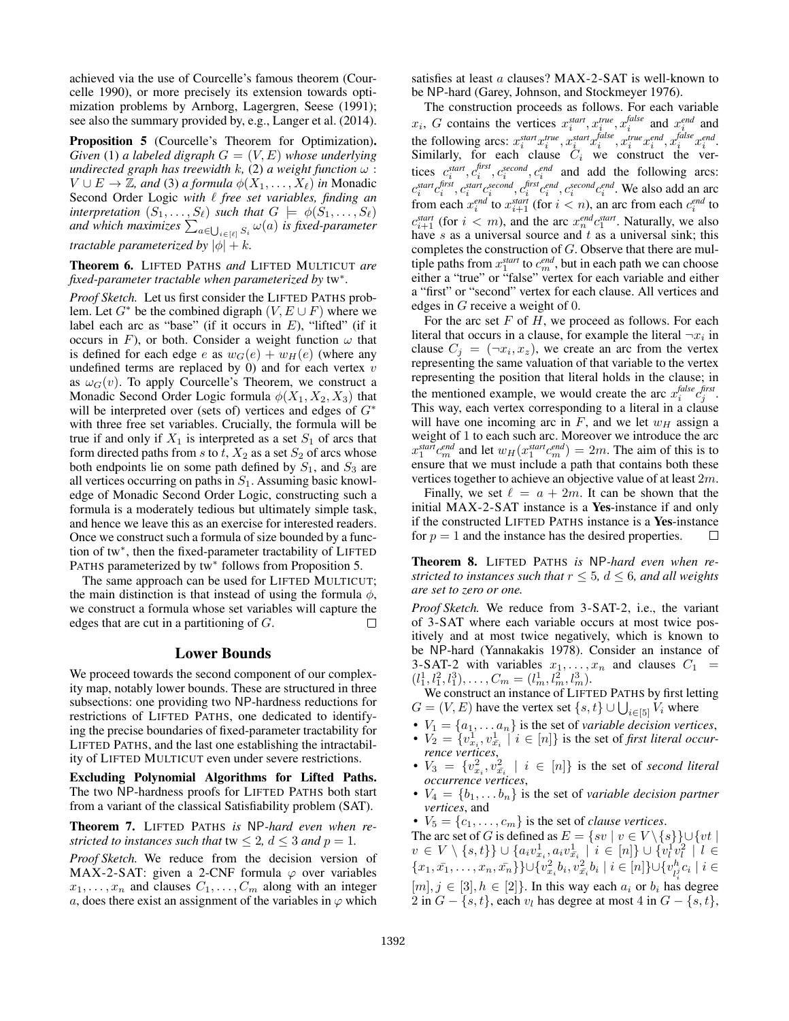achieved via the use of Courcelle's famous theorem (Courcelle 1990), or more precisely its extension towards optimization problems by Arnborg, Lagergren, Seese (1991); see also the summary provided by, e.g., Langer et al. (2014).

Proposition 5 (Courcelle's Theorem for Optimization). *Given* (1) *a labeled digraph*  $G = (V, E)$  *whose underlying undirected graph has treewidth k, (2) a weight function*  $\omega$  :  $V \cup E \rightarrow \mathbb{Z}$ , and (3) a formula  $\phi(X_1, \ldots, X_\ell)$  in Monadic Second Order Logic with  $\ell$  free set variables, finding an *interpretation*  $(S_1, \ldots, S_\ell)$  *such that*  $G \models \phi(S_1, \ldots, S_\ell)$ and which maximizes  $\sum_{a\in\bigcup_{i\in[\ell]}S_i}\omega(a)$  is fixed-parameter *tractable parameterized by*  $|\phi| + k$ .

Theorem 6. LIFTED PATHS *and* LIFTED MULTICUT *are fixed-parameter tractable when parameterized by* tw<sup>∗</sup> *.*

*Proof Sketch.* Let us first consider the LIFTED PATHS problem. Let  $G^*$  be the combined digraph  $(V, E \cup F)$  where we label each arc as "base" (if it occurs in  $E$ ), "lifted" (if it occurs in F), or both. Consider a weight function  $\omega$  that is defined for each edge e as  $w_G(e) + w_H(e)$  (where any undefined terms are replaced by  $0$ ) and for each vertex  $v$ as  $\omega_G(v)$ . To apply Courcelle's Theorem, we construct a Monadic Second Order Logic formula  $\phi(X_1, X_2, X_3)$  that will be interpreted over (sets of) vertices and edges of  $G^*$ with three free set variables. Crucially, the formula will be true if and only if  $X_1$  is interpreted as a set  $S_1$  of arcs that form directed paths from s to t,  $X_2$  as a set  $S_2$  of arcs whose both endpoints lie on some path defined by  $S_1$ , and  $S_3$  are all vertices occurring on paths in  $S_1$ . Assuming basic knowledge of Monadic Second Order Logic, constructing such a formula is a moderately tedious but ultimately simple task, and hence we leave this as an exercise for interested readers. Once we construct such a formula of size bounded by a function of tw<sup>∗</sup> , then the fixed-parameter tractability of LIFTED PATHS parameterized by tw<sup>∗</sup> follows from Proposition 5.

The same approach can be used for LIFTED MULTICUT; the main distinction is that instead of using the formula  $\phi$ , we construct a formula whose set variables will capture the edges that are cut in a partitioning of G.  $\Box$ 

### Lower Bounds

We proceed towards the second component of our complexity map, notably lower bounds. These are structured in three subsections: one providing two NP-hardness reductions for restrictions of LIFTED PATHS, one dedicated to identifying the precise boundaries of fixed-parameter tractability for LIFTED PATHS, and the last one establishing the intractability of LIFTED MULTICUT even under severe restrictions.

Excluding Polynomial Algorithms for Lifted Paths. The two NP-hardness proofs for LIFTED PATHS both start from a variant of the classical Satisfiability problem (SAT).

Theorem 7. LIFTED PATHS *is* NP*-hard even when restricted to instances such that*  $tw \leq 2$ ,  $d \leq 3$  *and*  $p = 1$ .

*Proof Sketch.* We reduce from the decision version of MAX-2-SAT: given a 2-CNF formula  $\varphi$  over variables  $x_1, \ldots, x_n$  and clauses  $C_1, \ldots, C_m$  along with an integer a, does there exist an assignment of the variables in  $\varphi$  which

satisfies at least a clauses? MAX-2-SAT is well-known to be NP-hard (Garey, Johnson, and Stockmeyer 1976).

The construction proceeds as follows. For each variable  $x_i$ , G contains the vertices  $x_i^{start}$ ,  $x_i^{true}$ ,  $x_i^{false}$  and  $x_i^{end}$  and the following arcs:  $x_i^{start} x_i^{true}, x_i^{start} x_i^{false}, x_i^{true} x_i^{end}, x_i^{false} x_i^{end}$ . Similarly, for each clause  $C_i$  we construct the vertices  $c_i^{start}, c_i^{first}, c_i^{second}, c_i^{end}$  and add the following arcs:  $i, c_i, c_i, c_i$  $c_i^{start}c_i^{first}$ ,  $c_i^{start}c_i^{second}$ ,  $c_i^{first}c_i^{end}$ ,  $c_i^{second}c_i^{end}$ . We also add an arc from each  $x_i^{end}$  to  $x_{i+1}^{start}$  (for  $i < n$ ), an arc from each  $c_i^{end}$  to  $c_{i+1}^{start}$  (for  $i < m$ ), and the arc  $x_n^{end} c_1^{start}$ . Naturally, we also have  $s$  as a universal source and  $t$  as a universal sink; this completes the construction of G. Observe that there are multiple paths from  $x_1^{start}$  to  $c_m^{end}$ , but in each path we can choose either a "true" or "false" vertex for each variable and either a "first" or "second" vertex for each clause. All vertices and edges in G receive a weight of 0.

For the arc set  $F$  of  $H$ , we proceed as follows. For each literal that occurs in a clause, for example the literal  $\neg x_i$  in clause  $C_j = (\neg x_i, x_z)$ , we create an arc from the vertex representing the same valuation of that variable to the vertex representing the position that literal holds in the clause; in the mentioned example, we would create the arc  $x_i^{false} c_j^{first}$ . This way, each vertex corresponding to a literal in a clause will have one incoming arc in  $F$ , and we let  $w_H$  assign a weight of 1 to each such arc. Moreover we introduce the arc  $x_1^{start}c_m^{end}$  and let  $w_H(x_1^{start}c_m^{end}) = 2m$ . The aim of this is to ensure that we must include a path that contains both these vertices together to achieve an objective value of at least  $2m$ .

Finally, we set  $\ell = a + 2m$ . It can be shown that the initial MAX-2-SAT instance is a Yes-instance if and only if the constructed LIFTED PATHS instance is a Yes-instance for  $p = 1$  and the instance has the desired properties. П

Theorem 8. LIFTED PATHS *is* NP*-hard even when restricted to instances such that*  $r < 5$ ,  $d < 6$ , and all weights *are set to zero or one.*

*Proof Sketch.* We reduce from 3-SAT-2, i.e., the variant of 3-SAT where each variable occurs at most twice positively and at most twice negatively, which is known to be NP-hard (Yannakakis 1978). Consider an instance of 3-SAT-2 with variables  $x_1, \ldots, x_n$  and clauses  $C_1$  =  $(l_1^1, l_1^2, l_1^3), \ldots, C_m = (l_m^1, l_m^2, l_m^3).$ 

We construct an instance of LIFTED PATHS by first letting  $G = (V, E)$  have the vertex set  $\{s, t\} \cup \bigcup_{i \in [5]} V_i$  where

- $V_1 = \{a_1, \ldots a_n\}$  is the set of *variable decision vertices*,
- $V_2 = \{v_{x_i}^1, v_{\overline{x_i}}^1 \mid i \in [n]\}$  is the set of *first literal occurrence vertices*,
- $V_3 = \{v_{x_i}^2, v_{\bar{x_i}}^2 \mid i \in [n]\}$  is the set of *second literal occurrence vertices*,
- $V_4 = \{b_1, \ldots b_n\}$  is the set of *variable decision partner vertices*, and
- $V_5 = \{c_1, \ldots, c_m\}$  is the set of *clause vertices*.

The arc set of G is defined as  $E = \{sv \mid v \in V \setminus \{s\} \} \cup \{vt \mid v \in V \setminus \{s\} \}$  $v \in V \setminus \{s, t\} \} \cup \{a_i v_{x_i}^1, a_i v_{\bar{x_i}}^1 \mid i \in [n] \} \cup \{v_l^1 v_l^2 \mid l \in$  $\{x_1, \bar{x_1}, \ldots, x_n, \bar{x_n}\}\} \cup \{v_{x_i}^2 b_i, v_{\bar{x_i}}^2 b_i \mid i \in [n]\} \cup \{v_{l_i}^h\}$  $\frac{h}{l_i^j}c_i\mid i\in$  $[m], j \in [3], h \in [2]$ . In this way each  $a_i$  or  $b_i$  has degree 2 in  $G - \{s, t\}$ , each  $v_l$  has degree at most 4 in  $G - \{s, t\}$ ,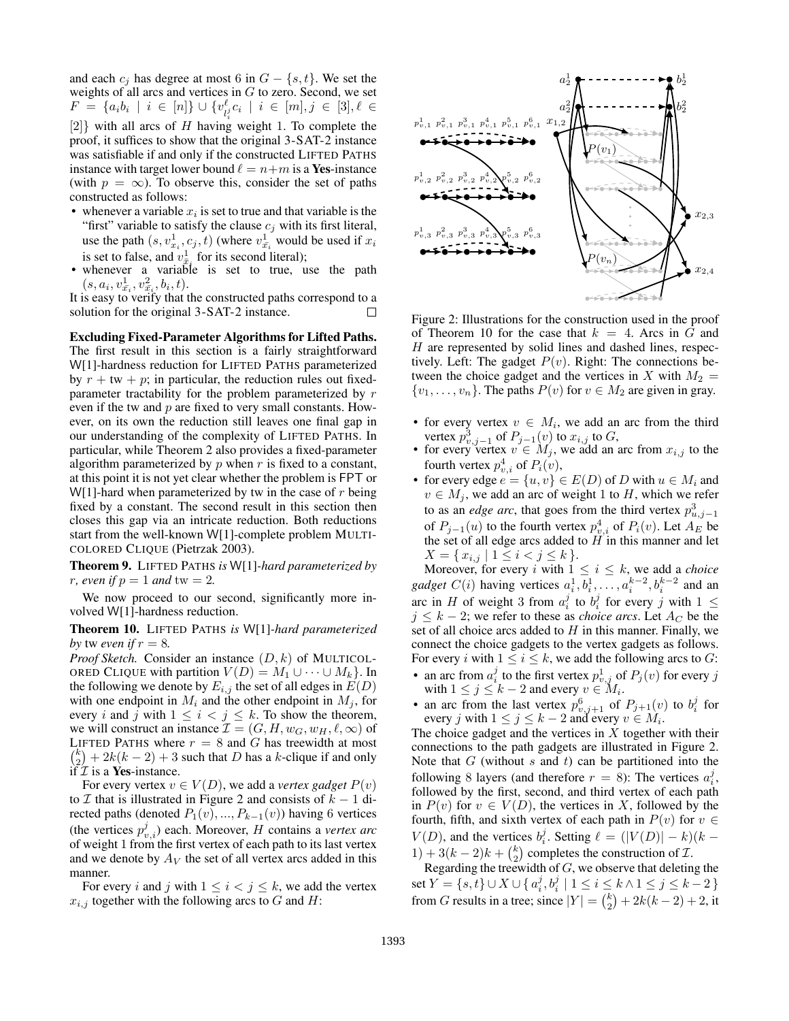and each  $c_i$  has degree at most 6 in  $G - \{s, t\}$ . We set the weights of all arcs and vertices in  $G$  to zero. Second, we set  $F = \{a_i b_i \mid i \in [n]\} \cup \{v_i^{\ell}\}$  $\frac{\ell}{l_i^j} c_i \, \mid \, i \, \in \, [m], j \, \in \, [3], \ell \, \in \,$  $[2]$ } with all arcs of H having weight 1. To complete the proof, it suffices to show that the original 3-SAT-2 instance was satisfiable if and only if the constructed LIFTED PATHS instance with target lower bound  $\ell = n+m$  is a Yes-instance (with  $p = \infty$ ). To observe this, consider the set of paths constructed as follows:

- whenever a variable  $x_i$  is set to true and that variable is the "first" variable to satisfy the clause  $c_j$  with its first literal, use the path  $(s, v_{x_i}^1, c_j, t)$  (where  $v_{\bar{x_i}}^1$  would be used if  $x_i$ is set to false, and  $v_{\bar{x}_i}^1$  for its second literal);
- whenever a variable is set to true, use the path  $(s, a_i, v_{\bar{x_i}}^1, v_{\bar{x_i}}^2, b_i, t).$

It is easy to verify that the constructed paths correspond to a solution for the original 3-SAT-2 instance. □

Excluding Fixed-Parameter Algorithms for Lifted Paths. The first result in this section is a fairly straightforward W[1]-hardness reduction for LIFTED PATHS parameterized by  $r + tw + p$ ; in particular, the reduction rules out fixedparameter tractability for the problem parameterized by r even if the tw and p are fixed to very small constants. However, on its own the reduction still leaves one final gap in our understanding of the complexity of LIFTED PATHS. In particular, while Theorem 2 also provides a fixed-parameter algorithm parameterized by  $p$  when  $r$  is fixed to a constant, at this point it is not yet clear whether the problem is FPT or W[1]-hard when parameterized by tw in the case of  $r$  being fixed by a constant. The second result in this section then closes this gap via an intricate reduction. Both reductions start from the well-known W[1]-complete problem MULTI-COLORED CLIQUE (Pietrzak 2003).

Theorem 9. LIFTED PATHS *is* W[1]*-hard parameterized by r*, even if  $p = 1$  and  $tw = 2$ .

We now proceed to our second, significantly more involved W[1]-hardness reduction.

Theorem 10. LIFTED PATHS *is* W[1]*-hard parameterized by* tw *even* if  $r = 8$ *.* 

*Proof Sketch.* Consider an instance  $(D, k)$  of MULTICOL-ORED CLIQUE with partition  $V(D) = M_1 \cup \cdots \cup M_k$ . In the following we denote by  $E_{i,j}$  the set of all edges in  $E(D)$ with one endpoint in  $M_i$  and the other endpoint in  $M_j$ , for every i and j with  $1 \leq i < j \leq k$ . To show the theorem, we will construct an instance  $\mathcal{I} = (G, H, w_G, w_H, \ell, \infty)$  of LIFTED PATHS where  $r = 8$  and G has treewidth at most  $\binom{k}{2} + 2k(k-2) + 3$  such that D has a k-clique if and only if  $\mathcal I$  is a **Yes**-instance.

For every vertex  $v \in V(D)$ , we add a *vertex gadget*  $P(v)$ to  $\mathcal I$  that is illustrated in Figure 2 and consists of  $k - 1$  directed paths (denoted  $P_1(v), ..., P_{k-1}(v)$ ) having 6 vertices (the vertices  $p_{v,i}^j$ ) each. Moreover, *H* contains a *vertex arc* of weight 1 from the first vertex of each path to its last vertex and we denote by  $A_V$  the set of all vertex arcs added in this manner.

For every i and j with  $1 \le i < j \le k$ , we add the vertex  $x_{i,j}$  together with the following arcs to G and H:



Figure 2: Illustrations for the construction used in the proof of Theorem 10 for the case that  $k = 4$ . Arcs in G and  $H$  are represented by solid lines and dashed lines, respectively. Left: The gadget  $P(v)$ . Right: The connections between the choice gadget and the vertices in X with  $M_2 =$  $\{v_1, \ldots, v_n\}$ . The paths  $P(v)$  for  $v \in M_2$  are given in gray.

- for every vertex  $v \in M_i$ , we add an arc from the third vertex  $p_{v,j-1}^3$  of  $P_{j-1}(v)$  to  $x_{i,j}$  to  $G$ ,
- for every vertex  $v \in M_j$ , we add an arc from  $x_{i,j}$  to the fourth vertex  $p_{v,i}^4$  of  $P_i(v)$ ,
- for every edge  $e = \{u, v\} \in E(D)$  of D with  $u \in M_i$  and  $v \in M_j$ , we add an arc of weight 1 to H, which we refer to as an *edge arc*, that goes from the third vertex  $p_{u,j-1}^3$ of  $P_{j-1}(u)$  to the fourth vertex  $p_{v,i}^4$  of  $P_i(v)$ . Let  $A_E$  be the set of all edge arcs added to  $H$  in this manner and let  $X = \{x_{i,j} \mid 1 \leq i < j \leq k\}.$

Moreover, for every i with  $1 \leq i \leq k$ , we add a *choice gadget*  $C(i)$  having vertices  $a_i^1, b_i^1, \ldots, a_i^{k-2}, b_i^{k-2}$  and an arc in H of weight 3 from  $a_i^j$  to  $b_i^j$  for every j with  $1 \leq$  $j \leq k - 2$ ; we refer to these as *choice arcs*. Let  $A_C$  be the set of all choice arcs added to  $H$  in this manner. Finally, we connect the choice gadgets to the vertex gadgets as follows. For every i with  $1 \le i \le k$ , we add the following arcs to G:

- an arc from  $a_i^j$  to the first vertex  $p_{v,j}^1$  of  $P_j(v)$  for every j with  $1 \leq j \leq k-2$  and every  $v \in M_i$ .
- an arc from the last vertex  $p_{v,j+1}^6$  of  $P_{j+1}(v)$  to  $b_i^j$  for every j with  $1 \le j \le k-2$  and every  $v \in M_i$ .

The choice gadget and the vertices in  $X$  together with their connections to the path gadgets are illustrated in Figure 2. Note that  $G$  (without s and t) can be partitioned into the following 8 layers (and therefore  $r = 8$ ): The vertices  $a_i^j$ , followed by the first, second, and third vertex of each path in  $P(v)$  for  $v \in V(D)$ , the vertices in X, followed by the fourth, fifth, and sixth vertex of each path in  $P(v)$  for  $v \in$  $V(D)$ , and the vertices  $b_i^j$ . Setting  $\ell = (|V(D)| - k)(k -$ 1) + 3( $k - 2$ ) $k + {k \choose 2}$  completes the construction of  $\mathcal{I}$ .

Regarding the treewidth of  $G$ , we observe that deleting the set  $Y = \{s, t\} \cup X \cup \{a_i^j, b_i^j \mid 1 \le i \le k \wedge 1 \le j \le k - 2\}$ from G results in a tree; since  $|Y| = {k \choose 2} + 2k(k-2) + 2$ , it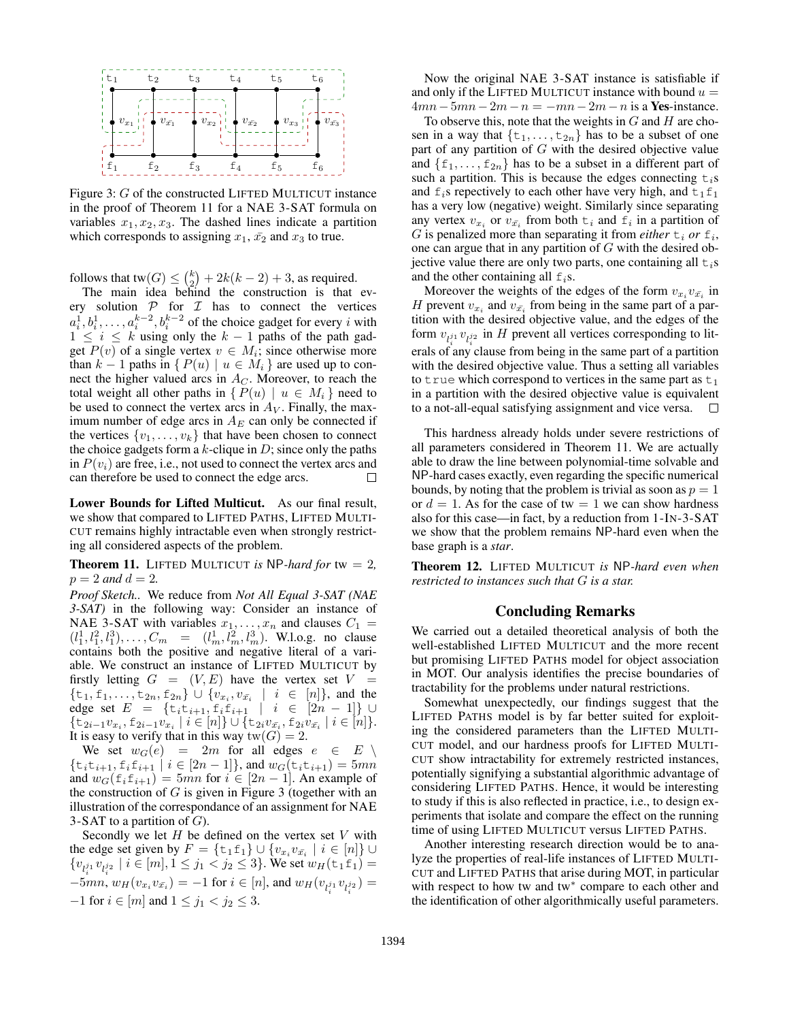

Figure 3: G of the constructed LIFTED MULTICUT instance in the proof of Theorem 11 for a NAE 3-SAT formula on variables  $x_1, x_2, x_3$ . The dashed lines indicate a partition which corresponds to assigning  $x_1$ ,  $\bar{x_2}$  and  $x_3$  to true.

follows that tw $(G) \leq {k \choose 2} + 2k(k-2) + 3$ , as required.

The main idea behind the construction is that every solution  $P$  for  $I$  has to connect the vertices  $a_i^1, b_i^1, \ldots, a_i^{k-2}, b_i^{k-2}$  of the choice gadget for every i with  $1 \leq i \leq k$  using only the  $k-1$  paths of the path gadget  $P(v)$  of a single vertex  $v \in M_i$ ; since otherwise more than  $k - 1$  paths in  $\{P(u) \mid u \in M_i\}$  are used up to connect the higher valued arcs in  $A_C$ . Moreover, to reach the total weight all other paths in  $\{P(u) \mid u \in M_i\}$  need to be used to connect the vertex arcs in  $A_V$ . Finally, the maximum number of edge arcs in  $A_E$  can only be connected if the vertices  $\{v_1, \ldots, v_k\}$  that have been chosen to connect the choice gadgets form a  $k$ -clique in  $D$ ; since only the paths in  $P(v_i)$  are free, i.e., not used to connect the vertex arcs and can therefore be used to connect the edge arcs. Ш

Lower Bounds for Lifted Multicut. As our final result, we show that compared to LIFTED PATHS, LIFTED MULTI-CUT remains highly intractable even when strongly restricting all considered aspects of the problem.

**Theorem 11.** LIFTED MULTICUT *is* NP-hard for tw  $= 2$ ,  $p = 2$  *and*  $d = 2$ .

*Proof Sketch..* We reduce from *Not All Equal 3-SAT (NAE 3-SAT)* in the following way: Consider an instance of NAE 3-SAT with variables  $x_1, \ldots, x_n$  and clauses  $C_1$  =  $(l_1^1, l_1^2, l_1^3), \ldots, C_m = (l_m^1, l_m^2, l_m^3)$ . W.l.o.g. no clause contains both the positive and negative literal of a variable. We construct an instance of LIFTED MULTICUT by firstly letting  $G = (V, E)$  have the vertex set  $V =$  $\{\t t_1, \t t_1, \ldots, \t t_{2n}, \t t_{2n}\} \cup \{v_{x_i}, v_{\bar{x_i}} \mid i \in [n]\},$  and the edge set  $E = \{t_i t_{i+1}, t_i t_{i+1} \mid i \in [2n-1]\} \cup$  $\{\pm_{2i-1}v_{x_i}, \pm_{2i-1}v_{x_i} \mid i \in [n]\} \cup \{\pm_{2i}v_{\bar{x_i}}, \pm_{2i}v_{\bar{x_i}} \mid i \in [n]\}.$ It is easy to verify that in this way  $tw(G) = 2$ .

We set  $w_G(e) = 2m$  for all edges  $e \in E \setminus$  $\{\text{t}_i\text{t}_{i+1}, \text{t}_i\text{t}_{i+1} | i \in [2n-1]\},$  and  $w_G(\text{t}_i\text{t}_{i+1}) = 5mn$ and  $w_G(\text{f}_i,\text{f}_{i+1}) = 5mn$  for  $i \in [2n-1]$ . An example of the construction of  $G$  is given in Figure 3 (together with an illustration of the correspondance of an assignment for NAE 3-SAT to a partition of  $G$ ).

Secondly we let  $H$  be defined on the vertex set  $V$  with the edge set given by  $F = \{\text{\texttt{t}}_1 \text{\texttt{f}}_1\} \cup \{v_{x_i} v_{\bar{x_i}} \mid i \in [n]\} \cup$  ${v_{l_i^{j_1}}v_{l_i^{j_2}} \mid i \in [m], 1 \leq j_1 < j_2 \leq 3}$ . We set  $w_H(\text{tr}_1 \text{f}_1) =$  $-5mn$ ,  $w_H(v_{x_i}v_{\bar{x_i}}) = -1$  for  $i \in [n]$ , and  $w_H(v_{l_1^{j_1}}v_{l_1^{j_2}}) =$ −1 for  $i \in [m]$  and  $1 \le j_1 < j_2 \le 3$ .

Now the original NAE 3-SAT instance is satisfiable if and only if the LIFTED MULTICUT instance with bound  $u =$  $4mn-5mn-2m-n = -mn-2m-n$  is a Yes-instance.

To observe this, note that the weights in  $G$  and  $H$  are chosen in a way that  $\{t_1, \ldots, t_{2n}\}$  has to be a subset of one part of any partition of  $G$  with the desired objective value and  $\{f_1, \ldots, f_{2n}\}\$  has to be a subset in a different part of such a partition. This is because the edges connecting  $t_i$ s and  $f_i$ s repectively to each other have very high, and  $f_1f_1$ has a very low (negative) weight. Similarly since separating any vertex  $v_{x_i}$  or  $v_{\bar{x_i}}$  from both  $t_i$  and  $f_i$  in a partition of G is penalized more than separating it from *either*  $t_i$  or  $f_i$ , one can argue that in any partition of  $G$  with the desired objective value there are only two parts, one containing all  $t_i$ s and the other containing all  $f_i$ s.

Moreover the weights of the edges of the form  $v_{x_i}v_{\bar{x_i}}$  in H prevent  $v_{x_i}$  and  $v_{\bar{x_i}}$  from being in the same part of a partition with the desired objective value, and the edges of the form  $v_{l_i^{j_1}} v_{l_i^{j_2}}$  in H prevent all vertices corresponding to literals of any clause from being in the same part of a partition with the desired objective value. Thus a setting all variables to true which correspond to vertices in the same part as  $t_1$ in a partition with the desired objective value is equivalent to a not-all-equal satisfying assignment and vice versa.  $\Box$ 

This hardness already holds under severe restrictions of all parameters considered in Theorem 11. We are actually able to draw the line between polynomial-time solvable and NP-hard cases exactly, even regarding the specific numerical bounds, by noting that the problem is trivial as soon as  $p = 1$ or  $d = 1$ . As for the case of tw = 1 we can show hardness also for this case—in fact, by a reduction from 1-IN-3-SAT we show that the problem remains NP-hard even when the base graph is a *star*.

Theorem 12. LIFTED MULTICUT *is* NP*-hard even when restricted to instances such that* G *is a star.*

## Concluding Remarks

We carried out a detailed theoretical analysis of both the well-established LIFTED MULTICUT and the more recent but promising LIFTED PATHS model for object association in MOT. Our analysis identifies the precise boundaries of tractability for the problems under natural restrictions.

Somewhat unexpectedly, our findings suggest that the LIFTED PATHS model is by far better suited for exploiting the considered parameters than the LIFTED MULTI-CUT model, and our hardness proofs for LIFTED MULTI-CUT show intractability for extremely restricted instances, potentially signifying a substantial algorithmic advantage of considering LIFTED PATHS. Hence, it would be interesting to study if this is also reflected in practice, i.e., to design experiments that isolate and compare the effect on the running time of using LIFTED MULTICUT versus LIFTED PATHS.

Another interesting research direction would be to analyze the properties of real-life instances of LIFTED MULTI-CUT and LIFTED PATHS that arise during MOT, in particular with respect to how tw and tw<sup>\*</sup> compare to each other and the identification of other algorithmically useful parameters.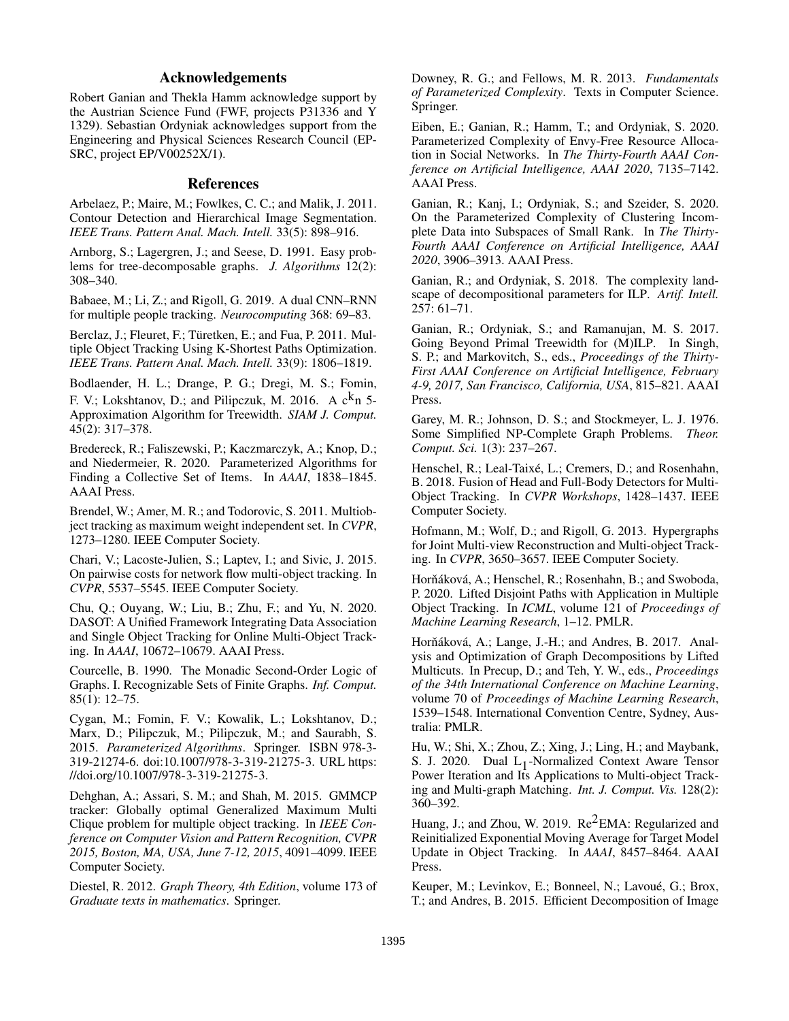# Acknowledgements

Robert Ganian and Thekla Hamm acknowledge support by the Austrian Science Fund (FWF, projects P31336 and Y 1329). Sebastian Ordyniak acknowledges support from the Engineering and Physical Sciences Research Council (EP-SRC, project EP/V00252X/1).

## References

Arbelaez, P.; Maire, M.; Fowlkes, C. C.; and Malik, J. 2011. Contour Detection and Hierarchical Image Segmentation. *IEEE Trans. Pattern Anal. Mach. Intell.* 33(5): 898–916.

Arnborg, S.; Lagergren, J.; and Seese, D. 1991. Easy problems for tree-decomposable graphs. *J. Algorithms* 12(2): 308–340.

Babaee, M.; Li, Z.; and Rigoll, G. 2019. A dual CNN–RNN for multiple people tracking. *Neurocomputing* 368: 69–83.

Berclaz, J.; Fleuret, F.; Türetken, E.; and Fua, P. 2011. Multiple Object Tracking Using K-Shortest Paths Optimization. *IEEE Trans. Pattern Anal. Mach. Intell.* 33(9): 1806–1819.

Bodlaender, H. L.; Drange, P. G.; Dregi, M. S.; Fomin, F. V.; Lokshtanov, D.; and Pilipczuk, M. 2016. A  $c^{k}n$  5-Approximation Algorithm for Treewidth. *SIAM J. Comput.* 45(2): 317–378.

Bredereck, R.; Faliszewski, P.; Kaczmarczyk, A.; Knop, D.; and Niedermeier, R. 2020. Parameterized Algorithms for Finding a Collective Set of Items. In *AAAI*, 1838–1845. AAAI Press.

Brendel, W.; Amer, M. R.; and Todorovic, S. 2011. Multiobject tracking as maximum weight independent set. In *CVPR*, 1273–1280. IEEE Computer Society.

Chari, V.; Lacoste-Julien, S.; Laptev, I.; and Sivic, J. 2015. On pairwise costs for network flow multi-object tracking. In *CVPR*, 5537–5545. IEEE Computer Society.

Chu, Q.; Ouyang, W.; Liu, B.; Zhu, F.; and Yu, N. 2020. DASOT: A Unified Framework Integrating Data Association and Single Object Tracking for Online Multi-Object Tracking. In *AAAI*, 10672–10679. AAAI Press.

Courcelle, B. 1990. The Monadic Second-Order Logic of Graphs. I. Recognizable Sets of Finite Graphs. *Inf. Comput.* 85(1): 12–75.

Cygan, M.; Fomin, F. V.; Kowalik, L.; Lokshtanov, D.; Marx, D.; Pilipczuk, M.; Pilipczuk, M.; and Saurabh, S. 2015. *Parameterized Algorithms*. Springer. ISBN 978-3- 319-21274-6. doi:10.1007/978-3-319-21275-3. URL https: //doi.org/10.1007/978-3-319-21275-3.

Dehghan, A.; Assari, S. M.; and Shah, M. 2015. GMMCP tracker: Globally optimal Generalized Maximum Multi Clique problem for multiple object tracking. In *IEEE Conference on Computer Vision and Pattern Recognition, CVPR 2015, Boston, MA, USA, June 7-12, 2015*, 4091–4099. IEEE Computer Society.

Diestel, R. 2012. *Graph Theory, 4th Edition*, volume 173 of *Graduate texts in mathematics*. Springer.

Downey, R. G.; and Fellows, M. R. 2013. *Fundamentals of Parameterized Complexity*. Texts in Computer Science. Springer.

Eiben, E.; Ganian, R.; Hamm, T.; and Ordyniak, S. 2020. Parameterized Complexity of Envy-Free Resource Allocation in Social Networks. In *The Thirty-Fourth AAAI Conference on Artificial Intelligence, AAAI 2020*, 7135–7142. AAAI Press.

Ganian, R.; Kanj, I.; Ordyniak, S.; and Szeider, S. 2020. On the Parameterized Complexity of Clustering Incomplete Data into Subspaces of Small Rank. In *The Thirty-Fourth AAAI Conference on Artificial Intelligence, AAAI 2020*, 3906–3913. AAAI Press.

Ganian, R.; and Ordyniak, S. 2018. The complexity landscape of decompositional parameters for ILP. *Artif. Intell.* 257: 61–71.

Ganian, R.; Ordyniak, S.; and Ramanujan, M. S. 2017. Going Beyond Primal Treewidth for (M)ILP. In Singh, S. P.; and Markovitch, S., eds., *Proceedings of the Thirty-First AAAI Conference on Artificial Intelligence, February 4-9, 2017, San Francisco, California, USA*, 815–821. AAAI Press.

Garey, M. R.; Johnson, D. S.; and Stockmeyer, L. J. 1976. Some Simplified NP-Complete Graph Problems. *Theor. Comput. Sci.* 1(3): 237–267.

Henschel, R.; Leal-Taixé, L.; Cremers, D.; and Rosenhahn, B. 2018. Fusion of Head and Full-Body Detectors for Multi-Object Tracking. In *CVPR Workshops*, 1428–1437. IEEE Computer Society.

Hofmann, M.; Wolf, D.; and Rigoll, G. 2013. Hypergraphs for Joint Multi-view Reconstruction and Multi-object Tracking. In *CVPR*, 3650–3657. IEEE Computer Society.

Horňáková, A.; Henschel, R.; Rosenhahn, B.; and Swoboda, P. 2020. Lifted Disjoint Paths with Application in Multiple Object Tracking. In *ICML*, volume 121 of *Proceedings of Machine Learning Research*, 1–12. PMLR.

Horňáková, A.; Lange, J.-H.; and Andres, B. 2017. Analysis and Optimization of Graph Decompositions by Lifted Multicuts. In Precup, D.; and Teh, Y. W., eds., *Proceedings of the 34th International Conference on Machine Learning*, volume 70 of *Proceedings of Machine Learning Research*, 1539–1548. International Convention Centre, Sydney, Australia: PMLR.

Hu, W.; Shi, X.; Zhou, Z.; Xing, J.; Ling, H.; and Maybank, S. J. 2020. Dual  $L_1$ -Normalized Context Aware Tensor Power Iteration and Its Applications to Multi-object Tracking and Multi-graph Matching. *Int. J. Comput. Vis.* 128(2): 360–392.

Huang, J.; and Zhou, W. 2019.  $\text{Re}^2$ EMA: Regularized and Reinitialized Exponential Moving Average for Target Model Update in Object Tracking. In *AAAI*, 8457–8464. AAAI Press.

Keuper, M.; Levinkov, E.; Bonneel, N.; Lavoué, G.; Brox, T.; and Andres, B. 2015. Efficient Decomposition of Image